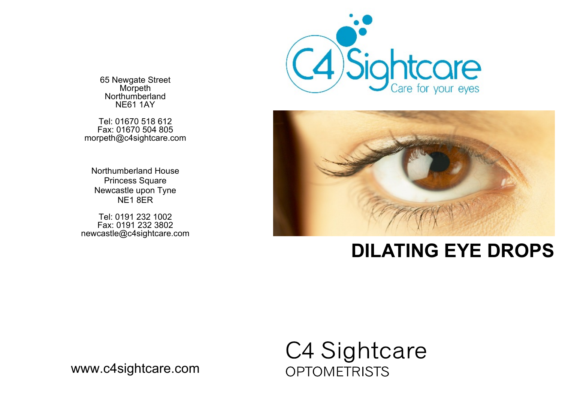

65 Newgate Street Morpeth Northumberland NE61 1AY

Tel: 01670 518 612 Fax: 01670 504 805 morpeth@c4sightcare.com

Northumberland House Princess Square Newcastle upon Tyne NE1 8ER

Tel: 0191 232 1002 Fax: 0191 232 3802 newcastle@c4sightcare.com



## **DILATING EYE DROPS**

## C4 Sightcare **OPTOMETRISTS**

www.c4sightcare.com